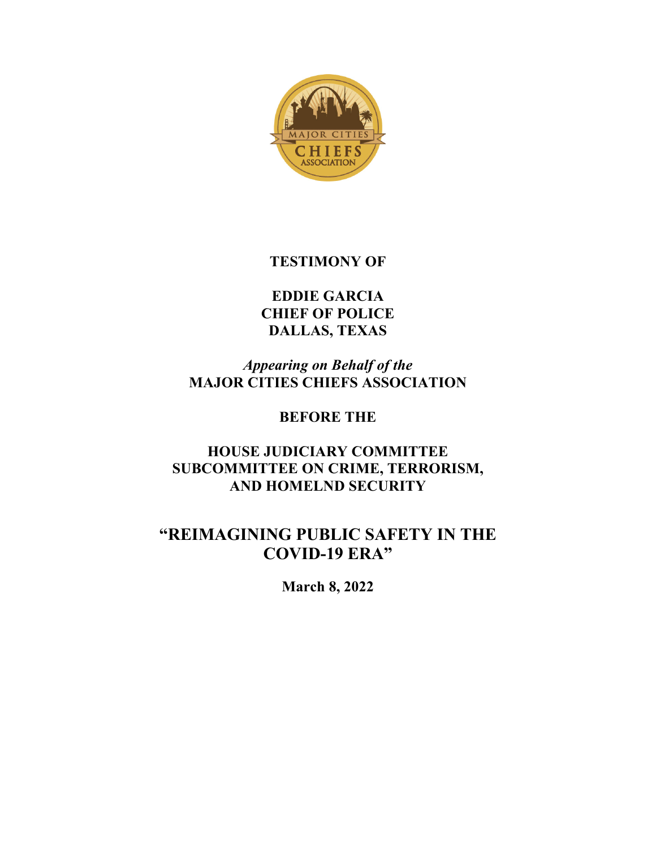

# **TESTIMONY OF**

**EDDIE GARCIA CHIEF OF POLICE DALLAS, TEXAS**

*Appearing on Behalf of the* **MAJOR CITIES CHIEFS ASSOCIATION**

# **BEFORE THE**

# **HOUSE JUDICIARY COMMITTEE SUBCOMMITTEE ON CRIME, TERRORISM, AND HOMELND SECURITY**

# **"REIMAGINING PUBLIC SAFETY IN THE COVID-19 ERA"**

**March 8, 2022**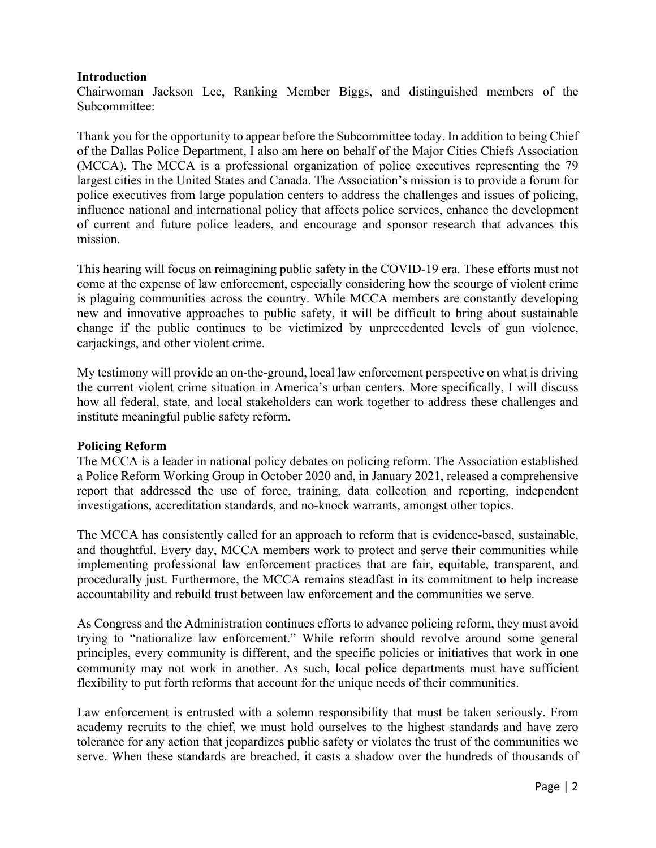#### **Introduction**

Chairwoman Jackson Lee, Ranking Member Biggs, and distinguished members of the Subcommittee:

Thank you for the opportunity to appear before the Subcommittee today. In addition to being Chief of the Dallas Police Department, I also am here on behalf of the Major Cities Chiefs Association (MCCA). The MCCA is a professional organization of police executives representing the 79 largest cities in the United States and Canada. The Association's mission is to provide a forum for police executives from large population centers to address the challenges and issues of policing, influence national and international policy that affects police services, enhance the development of current and future police leaders, and encourage and sponsor research that advances this mission.

This hearing will focus on reimagining public safety in the COVID-19 era. These efforts must not come at the expense of law enforcement, especially considering how the scourge of violent crime is plaguing communities across the country. While MCCA members are constantly developing new and innovative approaches to public safety, it will be difficult to bring about sustainable change if the public continues to be victimized by unprecedented levels of gun violence, carjackings, and other violent crime.

My testimony will provide an on-the-ground, local law enforcement perspective on what is driving the current violent crime situation in America's urban centers. More specifically, I will discuss how all federal, state, and local stakeholders can work together to address these challenges and institute meaningful public safety reform.

#### **Policing Reform**

The MCCA is a leader in national policy debates on policing reform. The Association established a Police Reform Working Group in October 2020 and, in January 2021, released a comprehensive report that addressed the use of force, training, data collection and reporting, independent investigations, accreditation standards, and no-knock warrants, amongst other topics.

The MCCA has consistently called for an approach to reform that is evidence-based, sustainable, and thoughtful. Every day, MCCA members work to protect and serve their communities while implementing professional law enforcement practices that are fair, equitable, transparent, and procedurally just. Furthermore, the MCCA remains steadfast in its commitment to help increase accountability and rebuild trust between law enforcement and the communities we serve.

As Congress and the Administration continues efforts to advance policing reform, they must avoid trying to "nationalize law enforcement." While reform should revolve around some general principles, every community is different, and the specific policies or initiatives that work in one community may not work in another. As such, local police departments must have sufficient flexibility to put forth reforms that account for the unique needs of their communities.

Law enforcement is entrusted with a solemn responsibility that must be taken seriously. From academy recruits to the chief, we must hold ourselves to the highest standards and have zero tolerance for any action that jeopardizes public safety or violates the trust of the communities we serve. When these standards are breached, it casts a shadow over the hundreds of thousands of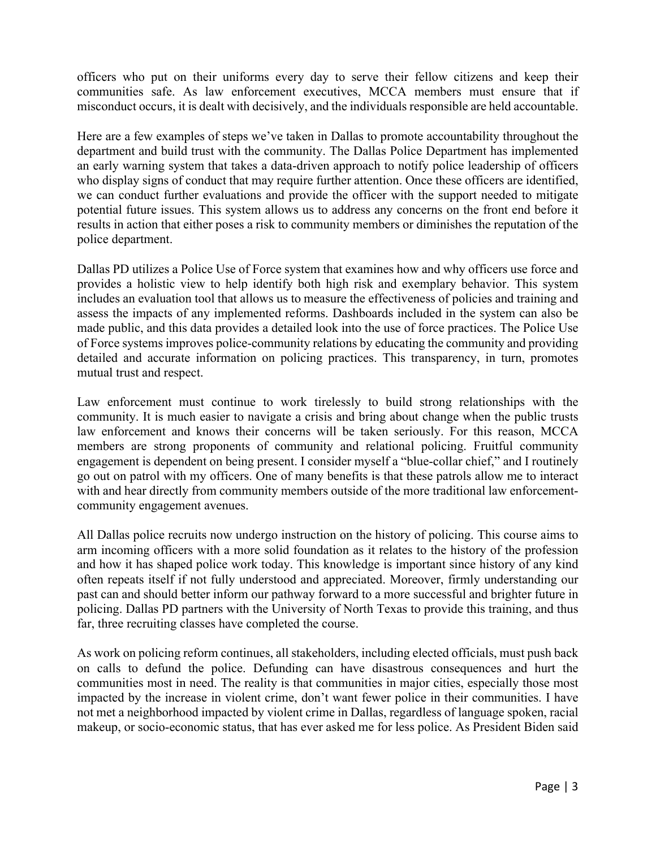officers who put on their uniforms every day to serve their fellow citizens and keep their communities safe. As law enforcement executives, MCCA members must ensure that if misconduct occurs, it is dealt with decisively, and the individuals responsible are held accountable.

Here are a few examples of steps we've taken in Dallas to promote accountability throughout the department and build trust with the community. The Dallas Police Department has implemented an early warning system that takes a data-driven approach to notify police leadership of officers who display signs of conduct that may require further attention. Once these officers are identified, we can conduct further evaluations and provide the officer with the support needed to mitigate potential future issues. This system allows us to address any concerns on the front end before it results in action that either poses a risk to community members or diminishes the reputation of the police department.

Dallas PD utilizes a Police Use of Force system that examines how and why officers use force and provides a holistic view to help identify both high risk and exemplary behavior. This system includes an evaluation tool that allows us to measure the effectiveness of policies and training and assess the impacts of any implemented reforms. Dashboards included in the system can also be made public, and this data provides a detailed look into the use of force practices. The Police Use of Force systems improves police-community relations by educating the community and providing detailed and accurate information on policing practices. This transparency, in turn, promotes mutual trust and respect.

Law enforcement must continue to work tirelessly to build strong relationships with the community. It is much easier to navigate a crisis and bring about change when the public trusts law enforcement and knows their concerns will be taken seriously. For this reason, MCCA members are strong proponents of community and relational policing. Fruitful community engagement is dependent on being present. I consider myself a "blue-collar chief," and I routinely go out on patrol with my officers. One of many benefits is that these patrols allow me to interact with and hear directly from community members outside of the more traditional law enforcementcommunity engagement avenues.

All Dallas police recruits now undergo instruction on the history of policing. This course aims to arm incoming officers with a more solid foundation as it relates to the history of the profession and how it has shaped police work today. This knowledge is important since history of any kind often repeats itself if not fully understood and appreciated. Moreover, firmly understanding our past can and should better inform our pathway forward to a more successful and brighter future in policing. Dallas PD partners with the University of North Texas to provide this training, and thus far, three recruiting classes have completed the course.

As work on policing reform continues, all stakeholders, including elected officials, must push back on calls to defund the police. Defunding can have disastrous consequences and hurt the communities most in need. The reality is that communities in major cities, especially those most impacted by the increase in violent crime, don't want fewer police in their communities. I have not met a neighborhood impacted by violent crime in Dallas, regardless of language spoken, racial makeup, or socio-economic status, that has ever asked me for less police. As President Biden said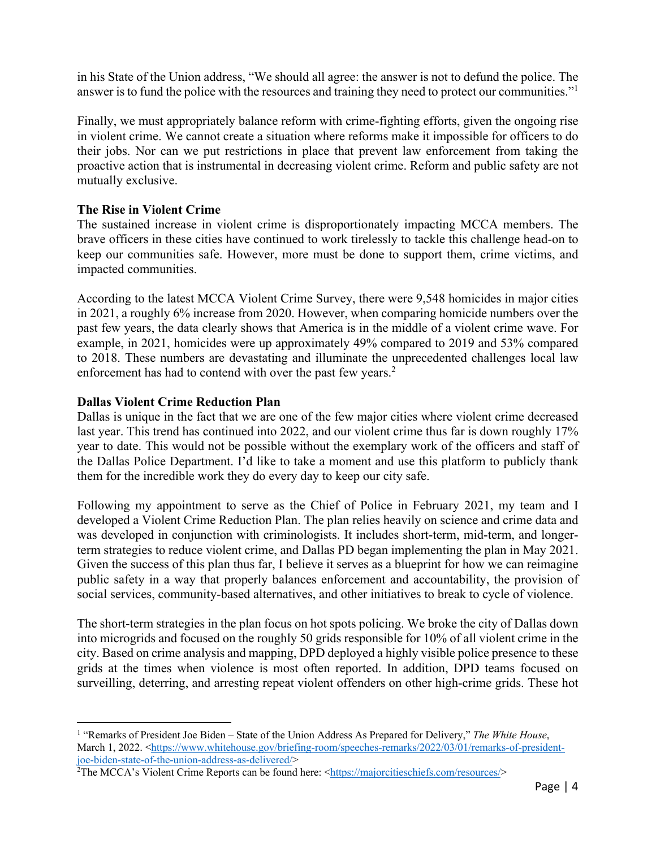in his State of the Union address, "We should all agree: the answer is not to defund the police. The answer is to fund the police with the resources and training they need to protect our communities."1

Finally, we must appropriately balance reform with crime-fighting efforts, given the ongoing rise in violent crime. We cannot create a situation where reforms make it impossible for officers to do their jobs. Nor can we put restrictions in place that prevent law enforcement from taking the proactive action that is instrumental in decreasing violent crime. Reform and public safety are not mutually exclusive.

## **The Rise in Violent Crime**

The sustained increase in violent crime is disproportionately impacting MCCA members. The brave officers in these cities have continued to work tirelessly to tackle this challenge head-on to keep our communities safe. However, more must be done to support them, crime victims, and impacted communities.

According to the latest MCCA Violent Crime Survey, there were 9,548 homicides in major cities in 2021, a roughly 6% increase from 2020. However, when comparing homicide numbers over the past few years, the data clearly shows that America is in the middle of a violent crime wave. For example, in 2021, homicides were up approximately 49% compared to 2019 and 53% compared to 2018. These numbers are devastating and illuminate the unprecedented challenges local law enforcement has had to contend with over the past few years.<sup>2</sup>

## **Dallas Violent Crime Reduction Plan**

Dallas is unique in the fact that we are one of the few major cities where violent crime decreased last year. This trend has continued into 2022, and our violent crime thus far is down roughly 17% year to date. This would not be possible without the exemplary work of the officers and staff of the Dallas Police Department. I'd like to take a moment and use this platform to publicly thank them for the incredible work they do every day to keep our city safe.

Following my appointment to serve as the Chief of Police in February 2021, my team and I developed a Violent Crime Reduction Plan. The plan relies heavily on science and crime data and was developed in conjunction with criminologists. It includes short-term, mid-term, and longerterm strategies to reduce violent crime, and Dallas PD began implementing the plan in May 2021. Given the success of this plan thus far, I believe it serves as a blueprint for how we can reimagine public safety in a way that properly balances enforcement and accountability, the provision of social services, community-based alternatives, and other initiatives to break to cycle of violence.

The short-term strategies in the plan focus on hot spots policing. We broke the city of Dallas down into microgrids and focused on the roughly 50 grids responsible for 10% of all violent crime in the city. Based on crime analysis and mapping, DPD deployed a highly visible police presence to these grids at the times when violence is most often reported. In addition, DPD teams focused on surveilling, deterring, and arresting repeat violent offenders on other high-crime grids. These hot

<sup>1</sup> "Remarks of President Joe Biden – State of the Union Address As Prepared for Delivery," *The White House*, March 1, 2022. <https://www.whitehouse.gov/briefing-room/speeches-remarks/2022/03/01/remarks-of-presidentjoe-biden-state-of-the-union-address-as-delivered/> 2

<sup>&</sup>lt;sup>2</sup>The MCCA's Violent Crime Reports can be found here: <https://majorcitieschiefs.com/resources/>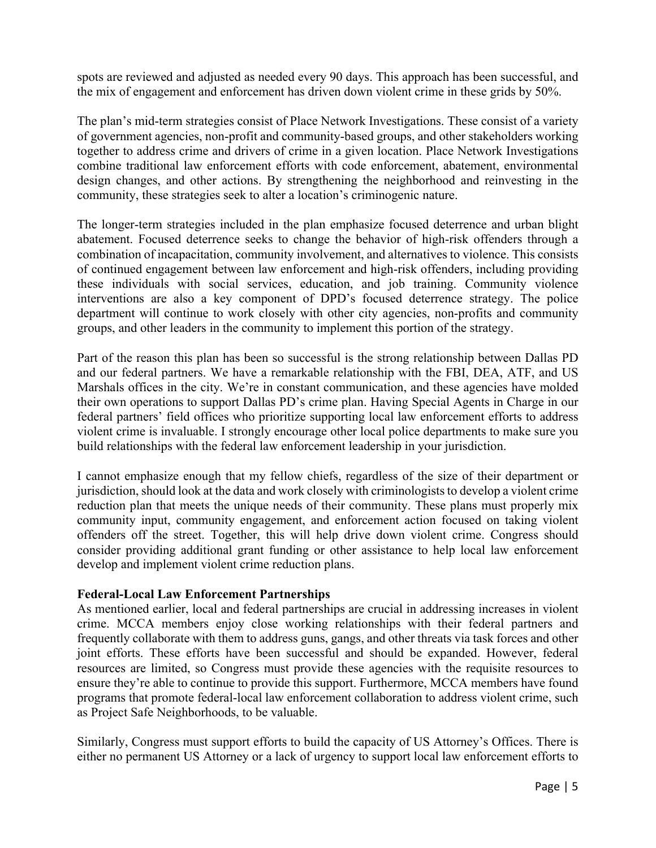spots are reviewed and adjusted as needed every 90 days. This approach has been successful, and the mix of engagement and enforcement has driven down violent crime in these grids by 50%.

The plan's mid-term strategies consist of Place Network Investigations. These consist of a variety of government agencies, non-profit and community-based groups, and other stakeholders working together to address crime and drivers of crime in a given location. Place Network Investigations combine traditional law enforcement efforts with code enforcement, abatement, environmental design changes, and other actions. By strengthening the neighborhood and reinvesting in the community, these strategies seek to alter a location's criminogenic nature.

The longer-term strategies included in the plan emphasize focused deterrence and urban blight abatement. Focused deterrence seeks to change the behavior of high-risk offenders through a combination of incapacitation, community involvement, and alternatives to violence. This consists of continued engagement between law enforcement and high-risk offenders, including providing these individuals with social services, education, and job training. Community violence interventions are also a key component of DPD's focused deterrence strategy. The police department will continue to work closely with other city agencies, non-profits and community groups, and other leaders in the community to implement this portion of the strategy.

Part of the reason this plan has been so successful is the strong relationship between Dallas PD and our federal partners. We have a remarkable relationship with the FBI, DEA, ATF, and US Marshals offices in the city. We're in constant communication, and these agencies have molded their own operations to support Dallas PD's crime plan. Having Special Agents in Charge in our federal partners' field offices who prioritize supporting local law enforcement efforts to address violent crime is invaluable. I strongly encourage other local police departments to make sure you build relationships with the federal law enforcement leadership in your jurisdiction.

I cannot emphasize enough that my fellow chiefs, regardless of the size of their department or jurisdiction, should look at the data and work closely with criminologists to develop a violent crime reduction plan that meets the unique needs of their community. These plans must properly mix community input, community engagement, and enforcement action focused on taking violent offenders off the street. Together, this will help drive down violent crime. Congress should consider providing additional grant funding or other assistance to help local law enforcement develop and implement violent crime reduction plans.

#### **Federal-Local Law Enforcement Partnerships**

As mentioned earlier, local and federal partnerships are crucial in addressing increases in violent crime. MCCA members enjoy close working relationships with their federal partners and frequently collaborate with them to address guns, gangs, and other threats via task forces and other joint efforts. These efforts have been successful and should be expanded. However, federal resources are limited, so Congress must provide these agencies with the requisite resources to ensure they're able to continue to provide this support. Furthermore, MCCA members have found programs that promote federal-local law enforcement collaboration to address violent crime, such as Project Safe Neighborhoods, to be valuable.

Similarly, Congress must support efforts to build the capacity of US Attorney's Offices. There is either no permanent US Attorney or a lack of urgency to support local law enforcement efforts to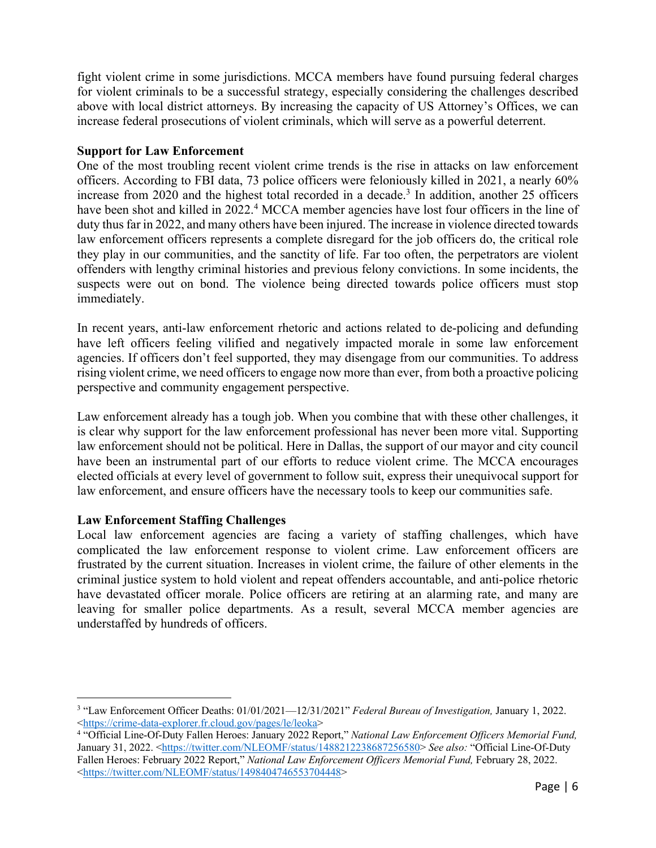fight violent crime in some jurisdictions. MCCA members have found pursuing federal charges for violent criminals to be a successful strategy, especially considering the challenges described above with local district attorneys. By increasing the capacity of US Attorney's Offices, we can increase federal prosecutions of violent criminals, which will serve as a powerful deterrent.

## **Support for Law Enforcement**

One of the most troubling recent violent crime trends is the rise in attacks on law enforcement officers. According to FBI data, 73 police officers were feloniously killed in 2021, a nearly 60% increase from  $2020$  and the highest total recorded in a decade.<sup>3</sup> In addition, another 25 officers have been shot and killed in 2022.<sup>4</sup> MCCA member agencies have lost four officers in the line of duty thus far in 2022, and many others have been injured. The increase in violence directed towards law enforcement officers represents a complete disregard for the job officers do, the critical role they play in our communities, and the sanctity of life. Far too often, the perpetrators are violent offenders with lengthy criminal histories and previous felony convictions. In some incidents, the suspects were out on bond. The violence being directed towards police officers must stop immediately.

In recent years, anti-law enforcement rhetoric and actions related to de-policing and defunding have left officers feeling vilified and negatively impacted morale in some law enforcement agencies. If officers don't feel supported, they may disengage from our communities. To address rising violent crime, we need officers to engage now more than ever, from both a proactive policing perspective and community engagement perspective.

Law enforcement already has a tough job. When you combine that with these other challenges, it is clear why support for the law enforcement professional has never been more vital. Supporting law enforcement should not be political. Here in Dallas, the support of our mayor and city council have been an instrumental part of our efforts to reduce violent crime. The MCCA encourages elected officials at every level of government to follow suit, express their unequivocal support for law enforcement, and ensure officers have the necessary tools to keep our communities safe.

# **Law Enforcement Staffing Challenges**

Local law enforcement agencies are facing a variety of staffing challenges, which have complicated the law enforcement response to violent crime. Law enforcement officers are frustrated by the current situation. Increases in violent crime, the failure of other elements in the criminal justice system to hold violent and repeat offenders accountable, and anti-police rhetoric have devastated officer morale. Police officers are retiring at an alarming rate, and many are leaving for smaller police departments. As a result, several MCCA member agencies are understaffed by hundreds of officers.

<sup>3</sup> "Law Enforcement Officer Deaths: 01/01/2021—12/31/2021" *Federal Bureau of Investigation,* January 1, 2022.

<sup>&</sup>lt;https://crime-data-explorer.fr.cloud.gov/pages/le/leoka> 4 "Official Line-Of-Duty Fallen Heroes: January 2022 Report," *National Law Enforcement Officers Memorial Fund,*  January 31, 2022. <https://twitter.com/NLEOMF/status/1488212238687256580> *See also:* "Official Line-Of-Duty Fallen Heroes: February 2022 Report," *National Law Enforcement Officers Memorial Fund*, February 28, 2022. <https://twitter.com/NLEOMF/status/1498404746553704448>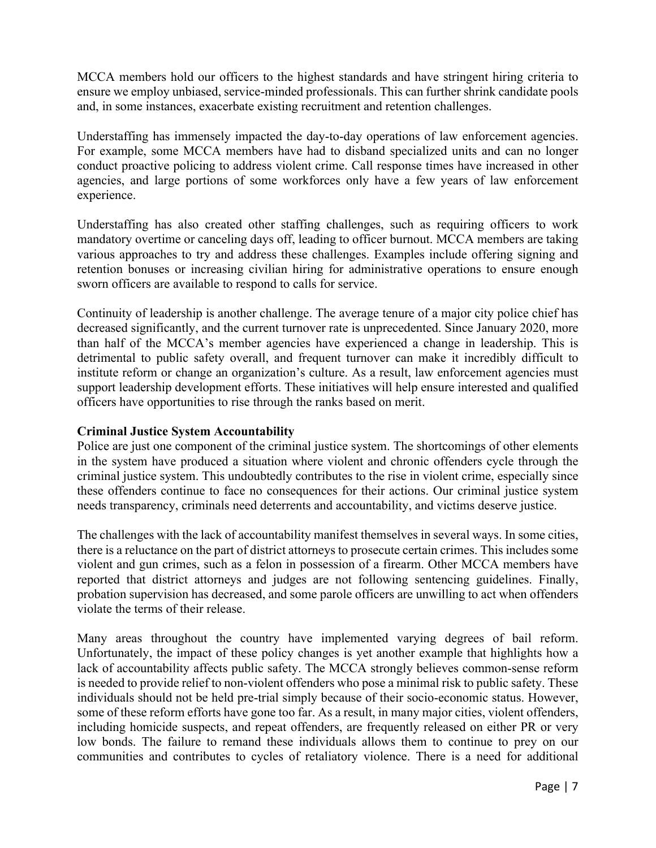MCCA members hold our officers to the highest standards and have stringent hiring criteria to ensure we employ unbiased, service-minded professionals. This can further shrink candidate pools and, in some instances, exacerbate existing recruitment and retention challenges.

Understaffing has immensely impacted the day-to-day operations of law enforcement agencies. For example, some MCCA members have had to disband specialized units and can no longer conduct proactive policing to address violent crime. Call response times have increased in other agencies, and large portions of some workforces only have a few years of law enforcement experience.

Understaffing has also created other staffing challenges, such as requiring officers to work mandatory overtime or canceling days off, leading to officer burnout. MCCA members are taking various approaches to try and address these challenges. Examples include offering signing and retention bonuses or increasing civilian hiring for administrative operations to ensure enough sworn officers are available to respond to calls for service.

Continuity of leadership is another challenge. The average tenure of a major city police chief has decreased significantly, and the current turnover rate is unprecedented. Since January 2020, more than half of the MCCA's member agencies have experienced a change in leadership. This is detrimental to public safety overall, and frequent turnover can make it incredibly difficult to institute reform or change an organization's culture. As a result, law enforcement agencies must support leadership development efforts. These initiatives will help ensure interested and qualified officers have opportunities to rise through the ranks based on merit.

# **Criminal Justice System Accountability**

Police are just one component of the criminal justice system. The shortcomings of other elements in the system have produced a situation where violent and chronic offenders cycle through the criminal justice system. This undoubtedly contributes to the rise in violent crime, especially since these offenders continue to face no consequences for their actions. Our criminal justice system needs transparency, criminals need deterrents and accountability, and victims deserve justice.

The challenges with the lack of accountability manifest themselves in several ways. In some cities, there is a reluctance on the part of district attorneys to prosecute certain crimes. This includes some violent and gun crimes, such as a felon in possession of a firearm. Other MCCA members have reported that district attorneys and judges are not following sentencing guidelines. Finally, probation supervision has decreased, and some parole officers are unwilling to act when offenders violate the terms of their release.

Many areas throughout the country have implemented varying degrees of bail reform. Unfortunately, the impact of these policy changes is yet another example that highlights how a lack of accountability affects public safety. The MCCA strongly believes common-sense reform is needed to provide relief to non-violent offenders who pose a minimal risk to public safety. These individuals should not be held pre-trial simply because of their socio-economic status. However, some of these reform efforts have gone too far. As a result, in many major cities, violent offenders, including homicide suspects, and repeat offenders, are frequently released on either PR or very low bonds. The failure to remand these individuals allows them to continue to prey on our communities and contributes to cycles of retaliatory violence. There is a need for additional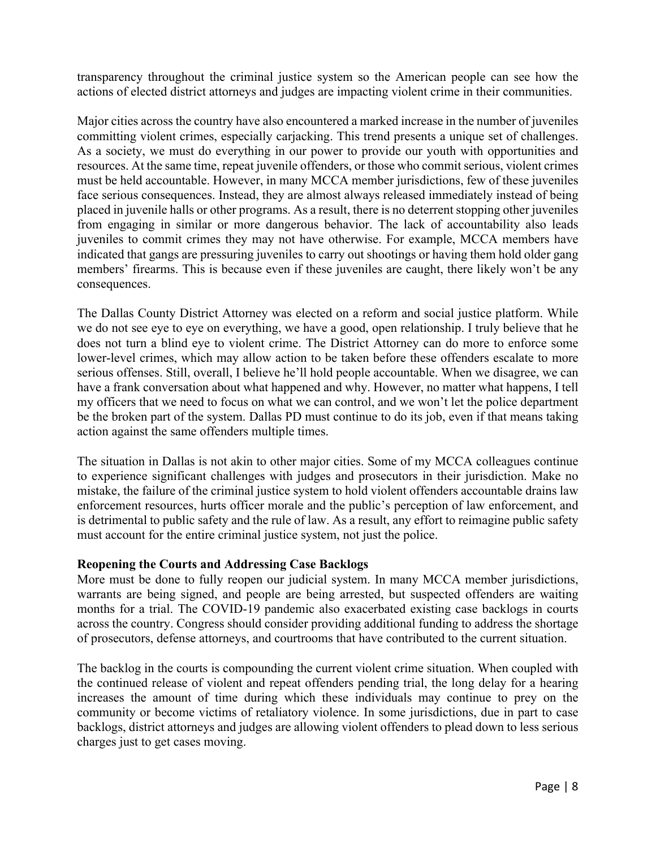transparency throughout the criminal justice system so the American people can see how the actions of elected district attorneys and judges are impacting violent crime in their communities.

Major cities across the country have also encountered a marked increase in the number of juveniles committing violent crimes, especially carjacking. This trend presents a unique set of challenges. As a society, we must do everything in our power to provide our youth with opportunities and resources. At the same time, repeat juvenile offenders, or those who commit serious, violent crimes must be held accountable. However, in many MCCA member jurisdictions, few of these juveniles face serious consequences. Instead, they are almost always released immediately instead of being placed in juvenile halls or other programs. As a result, there is no deterrent stopping other juveniles from engaging in similar or more dangerous behavior. The lack of accountability also leads juveniles to commit crimes they may not have otherwise. For example, MCCA members have indicated that gangs are pressuring juveniles to carry out shootings or having them hold older gang members' firearms. This is because even if these juveniles are caught, there likely won't be any consequences.

The Dallas County District Attorney was elected on a reform and social justice platform. While we do not see eye to eye on everything, we have a good, open relationship. I truly believe that he does not turn a blind eye to violent crime. The District Attorney can do more to enforce some lower-level crimes, which may allow action to be taken before these offenders escalate to more serious offenses. Still, overall, I believe he'll hold people accountable. When we disagree, we can have a frank conversation about what happened and why. However, no matter what happens, I tell my officers that we need to focus on what we can control, and we won't let the police department be the broken part of the system. Dallas PD must continue to do its job, even if that means taking action against the same offenders multiple times.

The situation in Dallas is not akin to other major cities. Some of my MCCA colleagues continue to experience significant challenges with judges and prosecutors in their jurisdiction. Make no mistake, the failure of the criminal justice system to hold violent offenders accountable drains law enforcement resources, hurts officer morale and the public's perception of law enforcement, and is detrimental to public safety and the rule of law. As a result, any effort to reimagine public safety must account for the entire criminal justice system, not just the police.

#### **Reopening the Courts and Addressing Case Backlogs**

More must be done to fully reopen our judicial system. In many MCCA member jurisdictions, warrants are being signed, and people are being arrested, but suspected offenders are waiting months for a trial. The COVID-19 pandemic also exacerbated existing case backlogs in courts across the country. Congress should consider providing additional funding to address the shortage of prosecutors, defense attorneys, and courtrooms that have contributed to the current situation.

The backlog in the courts is compounding the current violent crime situation. When coupled with the continued release of violent and repeat offenders pending trial, the long delay for a hearing increases the amount of time during which these individuals may continue to prey on the community or become victims of retaliatory violence. In some jurisdictions, due in part to case backlogs, district attorneys and judges are allowing violent offenders to plead down to less serious charges just to get cases moving.